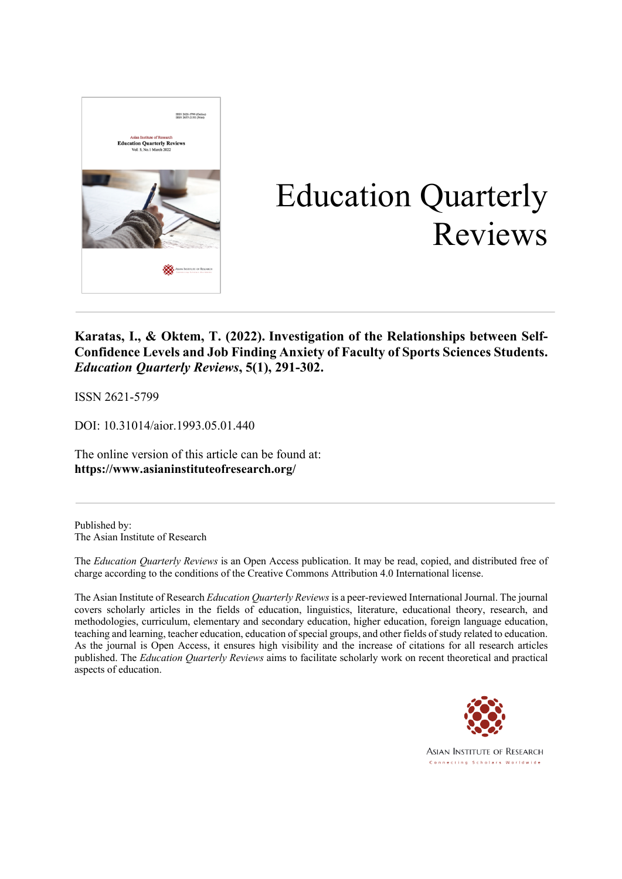

# Education Quarterly Reviews

### **Karatas, I., & Oktem, T. (2022). Investigation of the Relationships between Self-Confidence Levels and Job Finding Anxiety of Faculty of Sports Sciences Students.** *Education Quarterly Reviews***, 5(1), 291-302.**

ISSN 2621-5799

DOI: 10.31014/aior.1993.05.01.440

The online version of this article can be found at: **https://www.asianinstituteofresearch.org/**

Published by: The Asian Institute of Research

The *Education Quarterly Reviews* is an Open Access publication. It may be read, copied, and distributed free of charge according to the conditions of the Creative Commons Attribution 4.0 International license.

The Asian Institute of Research *Education Quarterly Reviews* is a peer-reviewed International Journal. The journal covers scholarly articles in the fields of education, linguistics, literature, educational theory, research, and methodologies, curriculum, elementary and secondary education, higher education, foreign language education, teaching and learning, teacher education, education of special groups, and other fields of study related to education. As the journal is Open Access, it ensures high visibility and the increase of citations for all research articles published. The *Education Quarterly Reviews* aims to facilitate scholarly work on recent theoretical and practical aspects of education.



**ASIAN INSTITUTE OF RESEARCH** Connecting Scholars Worldwide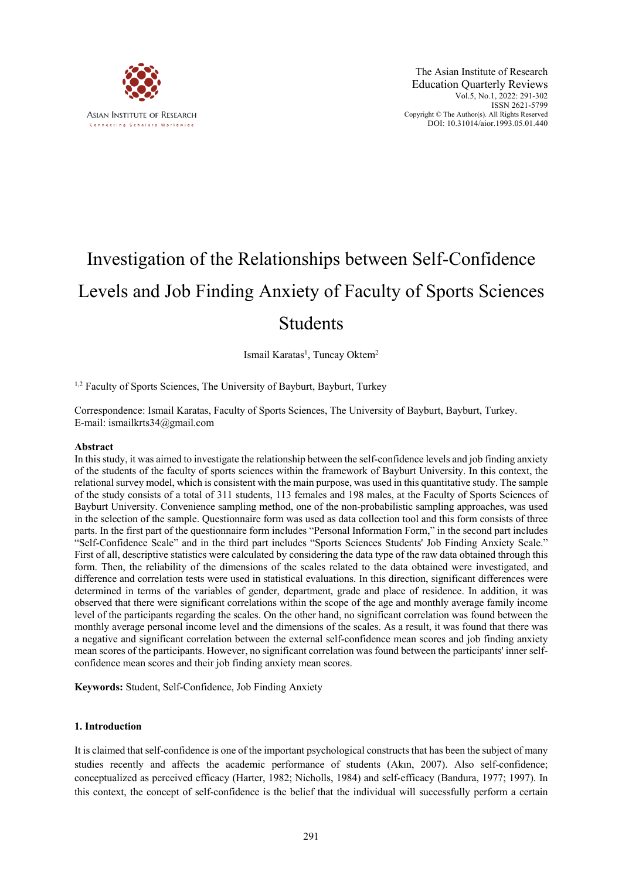

## Investigation of the Relationships between Self-Confidence Levels and Job Finding Anxiety of Faculty of Sports Sciences Students

Ismail Karatas<sup>1</sup>, Tuncay Oktem<sup>2</sup>

<sup>1,2</sup> Faculty of Sports Sciences, The University of Bayburt, Bayburt, Turkey

Correspondence: Ismail Karatas, Faculty of Sports Sciences, The University of Bayburt, Bayburt, Turkey. E-mail: ismailkrts34@gmail.com

#### **Abstract**

In this study, it was aimed to investigate the relationship between the self-confidence levels and job finding anxiety of the students of the faculty of sports sciences within the framework of Bayburt University. In this context, the relational survey model, which is consistent with the main purpose, was used in this quantitative study. The sample of the study consists of a total of 311 students, 113 females and 198 males, at the Faculty of Sports Sciences of Bayburt University. Convenience sampling method, one of the non-probabilistic sampling approaches, was used in the selection of the sample. Questionnaire form was used as data collection tool and this form consists of three parts. In the first part of the questionnaire form includes "Personal Information Form," in the second part includes "Self-Confidence Scale" and in the third part includes "Sports Sciences Students' Job Finding Anxiety Scale." First of all, descriptive statistics were calculated by considering the data type of the raw data obtained through this form. Then, the reliability of the dimensions of the scales related to the data obtained were investigated, and difference and correlation tests were used in statistical evaluations. In this direction, significant differences were determined in terms of the variables of gender, department, grade and place of residence. In addition, it was observed that there were significant correlations within the scope of the age and monthly average family income level of the participants regarding the scales. On the other hand, no significant correlation was found between the monthly average personal income level and the dimensions of the scales. As a result, it was found that there was a negative and significant correlation between the external self-confidence mean scores and job finding anxiety mean scores of the participants. However, no significant correlation was found between the participants' inner selfconfidence mean scores and their job finding anxiety mean scores.

**Keywords:** Student, Self-Confidence, Job Finding Anxiety

#### **1. Introduction**

It is claimed that self-confidence is one of the important psychological constructs that has been the subject of many studies recently and affects the academic performance of students (Akın, 2007). Also self-confidence; conceptualized as perceived efficacy (Harter, 1982; Nicholls, 1984) and self-efficacy (Bandura, 1977; 1997). In this context, the concept of self-confidence is the belief that the individual will successfully perform a certain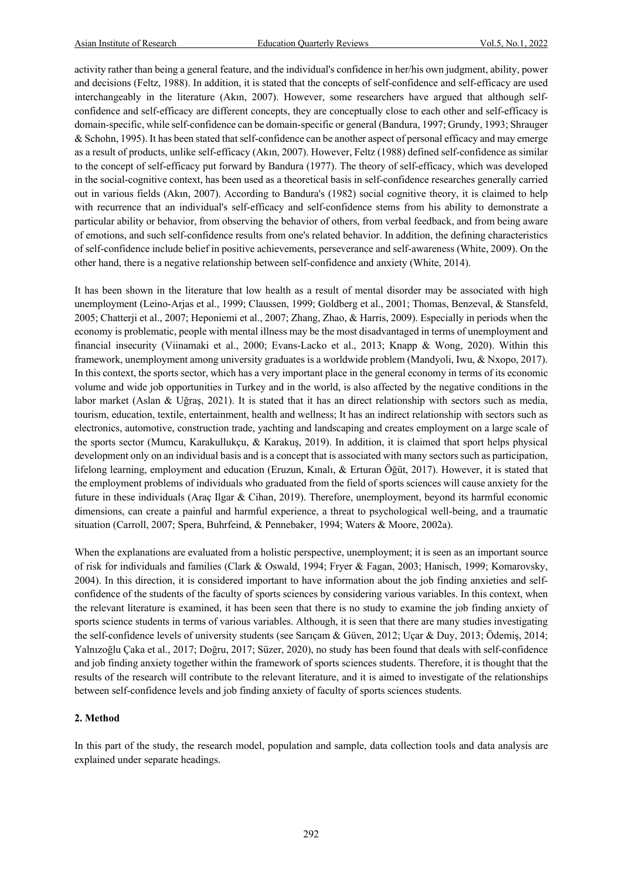activity rather than being a general feature, and the individual's confidence in her/his own judgment, ability, power and decisions (Feltz, 1988). In addition, it is stated that the concepts of self-confidence and self-efficacy are used interchangeably in the literature (Akın, 2007). However, some researchers have argued that although selfconfidence and self-efficacy are different concepts, they are conceptually close to each other and self-efficacy is domain-specific, while self-confidence can be domain-specific or general (Bandura, 1997; Grundy, 1993; Shrauger & Schohn, 1995). It has been stated that self-confidence can be another aspect of personal efficacy and may emerge as a result of products, unlike self-efficacy (Akın, 2007). However, Feltz (1988) defined self-confidence as similar to the concept of self-efficacy put forward by Bandura (1977). The theory of self-efficacy, which was developed in the social-cognitive context, has been used as a theoretical basis in self-confidence researches generally carried out in various fields (Akın, 2007). According to Bandura's (1982) social cognitive theory, it is claimed to help with recurrence that an individual's self-efficacy and self-confidence stems from his ability to demonstrate a particular ability or behavior, from observing the behavior of others, from verbal feedback, and from being aware of emotions, and such self-confidence results from one's related behavior. In addition, the defining characteristics of self-confidence include belief in positive achievements, perseverance and self-awareness (White, 2009). On the other hand, there is a negative relationship between self-confidence and anxiety (White, 2014).

It has been shown in the literature that low health as a result of mental disorder may be associated with high unemployment (Leino-Arjas et al., 1999; Claussen, 1999; Goldberg et al., 2001; Thomas, Benzeval, & Stansfeld, 2005; Chatterji et al., 2007; Heponiemi et al., 2007; Zhang, Zhao, & Harris, 2009). Especially in periods when the economy is problematic, people with mental illness may be the most disadvantaged in terms of unemployment and financial insecurity (Viinamaki et al., 2000; Evans-Lacko et al., 2013; Knapp & Wong, 2020). Within this framework, unemployment among university graduates is a worldwide problem (Mandyoli, Iwu, & Nxopo, 2017). In this context, the sports sector, which has a very important place in the general economy in terms of its economic volume and wide job opportunities in Turkey and in the world, is also affected by the negative conditions in the labor market (Aslan & Uğraş, 2021). It is stated that it has an direct relationship with sectors such as media, tourism, education, textile, entertainment, health and wellness; It has an indirect relationship with sectors such as electronics, automotive, construction trade, yachting and landscaping and creates employment on a large scale of the sports sector (Mumcu, Karakullukçu, & Karakuş, 2019). In addition, it is claimed that sport helps physical development only on an individual basis and is a concept that is associated with many sectors such as participation, lifelong learning, employment and education (Eruzun, Kınalı, & Erturan Öğüt, 2017). However, it is stated that the employment problems of individuals who graduated from the field of sports sciences will cause anxiety for the future in these individuals (Araç Ilgar & Cihan, 2019). Therefore, unemployment, beyond its harmful economic dimensions, can create a painful and harmful experience, a threat to psychological well-being, and a traumatic situation (Carroll, 2007; Spera, Buhrfeind, & Pennebaker, 1994; Waters & Moore, 2002a).

When the explanations are evaluated from a holistic perspective, unemployment; it is seen as an important source of risk for individuals and families (Clark & Oswald, 1994; Fryer & Fagan, 2003; Hanisch, 1999; Komarovsky, 2004). In this direction, it is considered important to have information about the job finding anxieties and selfconfidence of the students of the faculty of sports sciences by considering various variables. In this context, when the relevant literature is examined, it has been seen that there is no study to examine the job finding anxiety of sports science students in terms of various variables. Although, it is seen that there are many studies investigating the self-confidence levels of university students (see Sarıçam & Güven, 2012; Uçar & Duy, 2013; Ödemiş, 2014; Yalnızoğlu Çaka et al., 2017; Doğru, 2017; Süzer, 2020), no study has been found that deals with self-confidence and job finding anxiety together within the framework of sports sciences students. Therefore, it is thought that the results of the research will contribute to the relevant literature, and it is aimed to investigate of the relationships between self-confidence levels and job finding anxiety of faculty of sports sciences students.

#### **2. Method**

In this part of the study, the research model, population and sample, data collection tools and data analysis are explained under separate headings.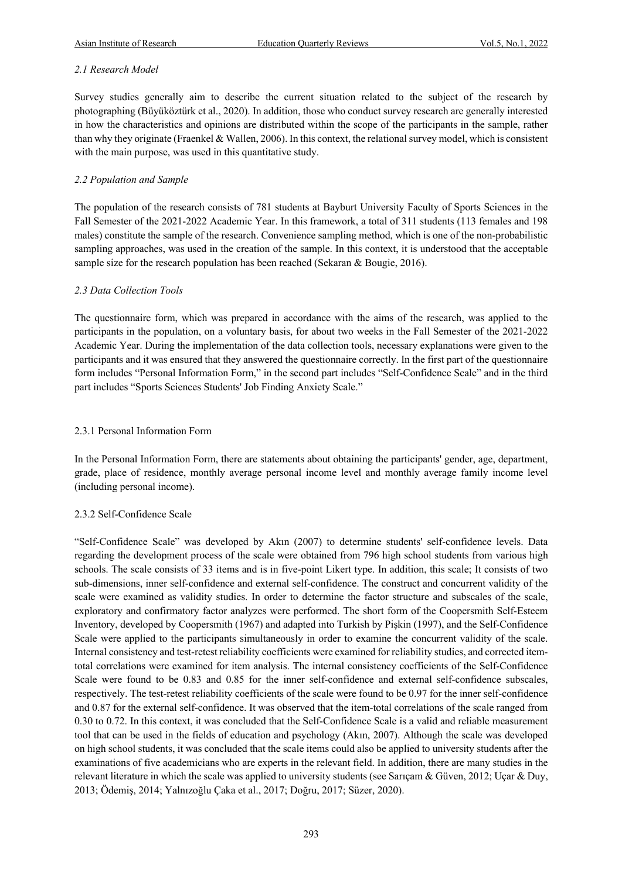#### *2.1 Research Model*

Survey studies generally aim to describe the current situation related to the subject of the research by photographing (Büyüköztürk et al., 2020). In addition, those who conduct survey research are generally interested in how the characteristics and opinions are distributed within the scope of the participants in the sample, rather than why they originate (Fraenkel & Wallen, 2006). In this context, the relational survey model, which is consistent with the main purpose, was used in this quantitative study.

#### *2.2 Population and Sample*

The population of the research consists of 781 students at Bayburt University Faculty of Sports Sciences in the Fall Semester of the 2021-2022 Academic Year. In this framework, a total of 311 students (113 females and 198 males) constitute the sample of the research. Convenience sampling method, which is one of the non-probabilistic sampling approaches, was used in the creation of the sample. In this context, it is understood that the acceptable sample size for the research population has been reached (Sekaran & Bougie, 2016).

#### *2.3 Data Collection Tools*

The questionnaire form, which was prepared in accordance with the aims of the research, was applied to the participants in the population, on a voluntary basis, for about two weeks in the Fall Semester of the 2021-2022 Academic Year. During the implementation of the data collection tools, necessary explanations were given to the participants and it was ensured that they answered the questionnaire correctly. In the first part of the questionnaire form includes "Personal Information Form," in the second part includes "Self-Confidence Scale" and in the third part includes "Sports Sciences Students' Job Finding Anxiety Scale."

#### 2.3.1 Personal Information Form

In the Personal Information Form, there are statements about obtaining the participants' gender, age, department, grade, place of residence, monthly average personal income level and monthly average family income level (including personal income).

#### 2.3.2 Self-Confidence Scale

"Self-Confidence Scale" was developed by Akın (2007) to determine students' self-confidence levels. Data regarding the development process of the scale were obtained from 796 high school students from various high schools. The scale consists of 33 items and is in five-point Likert type. In addition, this scale; It consists of two sub-dimensions, inner self-confidence and external self-confidence. The construct and concurrent validity of the scale were examined as validity studies. In order to determine the factor structure and subscales of the scale, exploratory and confirmatory factor analyzes were performed. The short form of the Coopersmith Self-Esteem Inventory, developed by Coopersmith (1967) and adapted into Turkish by Pişkin (1997), and the Self-Confidence Scale were applied to the participants simultaneously in order to examine the concurrent validity of the scale. Internal consistency and test-retest reliability coefficients were examined for reliability studies, and corrected itemtotal correlations were examined for item analysis. The internal consistency coefficients of the Self-Confidence Scale were found to be 0.83 and 0.85 for the inner self-confidence and external self-confidence subscales, respectively. The test-retest reliability coefficients of the scale were found to be 0.97 for the inner self-confidence and 0.87 for the external self-confidence. It was observed that the item-total correlations of the scale ranged from 0.30 to 0.72. In this context, it was concluded that the Self-Confidence Scale is a valid and reliable measurement tool that can be used in the fields of education and psychology (Akın, 2007). Although the scale was developed on high school students, it was concluded that the scale items could also be applied to university students after the examinations of five academicians who are experts in the relevant field. In addition, there are many studies in the relevant literature in which the scale was applied to university students (see Sarıçam & Güven, 2012; Uçar & Duy, 2013; Ödemiş, 2014; Yalnızoğlu Çaka et al., 2017; Doğru, 2017; Süzer, 2020).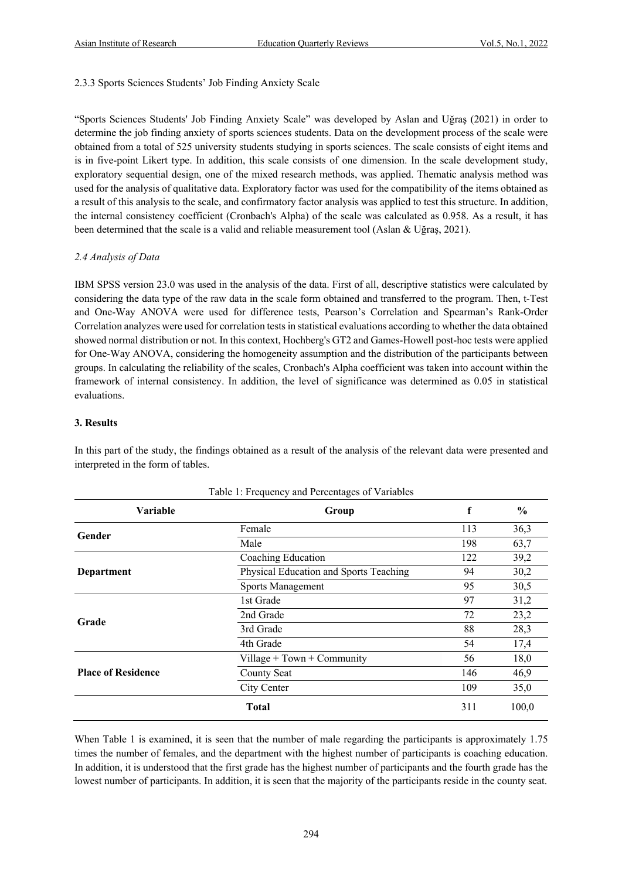#### 2.3.3 Sports Sciences Students' Job Finding Anxiety Scale

"Sports Sciences Students' Job Finding Anxiety Scale" was developed by Aslan and Uğraş (2021) in order to determine the job finding anxiety of sports sciences students. Data on the development process of the scale were obtained from a total of 525 university students studying in sports sciences. The scale consists of eight items and is in five-point Likert type. In addition, this scale consists of one dimension. In the scale development study, exploratory sequential design, one of the mixed research methods, was applied. Thematic analysis method was used for the analysis of qualitative data. Exploratory factor was used for the compatibility of the items obtained as a result of this analysis to the scale, and confirmatory factor analysis was applied to test this structure. In addition, the internal consistency coefficient (Cronbach's Alpha) of the scale was calculated as 0.958. As a result, it has been determined that the scale is a valid and reliable measurement tool (Aslan & Uğraş, 2021).

#### *2.4 Analysis of Data*

IBM SPSS version 23.0 was used in the analysis of the data. First of all, descriptive statistics were calculated by considering the data type of the raw data in the scale form obtained and transferred to the program. Then, t-Test and One-Way ANOVA were used for difference tests, Pearson's Correlation and Spearman's Rank-Order Correlation analyzes were used for correlation tests in statistical evaluations according to whether the data obtained showed normal distribution or not. In this context, Hochberg's GT2 and Games-Howell post-hoc tests were applied for One-Way ANOVA, considering the homogeneity assumption and the distribution of the participants between groups. In calculating the reliability of the scales, Cronbach's Alpha coefficient was taken into account within the framework of internal consistency. In addition, the level of significance was determined as 0.05 in statistical evaluations.

#### **3. Results**

In this part of the study, the findings obtained as a result of the analysis of the relevant data were presented and interpreted in the form of tables.

| Variable                  | Group                                  | f   | $\frac{6}{9}$ |
|---------------------------|----------------------------------------|-----|---------------|
| Gender                    | Female                                 | 113 | 36,3          |
|                           | Male                                   | 198 | 63,7          |
|                           | Coaching Education                     | 122 | 39,2          |
| Department                | Physical Education and Sports Teaching | 94  | 30,2          |
|                           | Sports Management                      | 95  | 30,5          |
|                           | 1st Grade                              | 97  | 31,2          |
| Grade                     | 2nd Grade                              | 72  | 23,2          |
|                           | 3rd Grade                              | 88  | 28,3          |
|                           | 4th Grade                              | 54  | 17,4          |
|                           | Village $+$ Town $+$ Community         | 56  | 18,0          |
| <b>Place of Residence</b> | <b>County Seat</b>                     | 146 | 46,9          |
|                           | City Center                            | 109 | 35,0          |
|                           | <b>Total</b>                           | 311 | 100,0         |

Table 1: Frequency and Percentages of Variables

When Table 1 is examined, it is seen that the number of male regarding the participants is approximately 1.75 times the number of females, and the department with the highest number of participants is coaching education. In addition, it is understood that the first grade has the highest number of participants and the fourth grade has the lowest number of participants. In addition, it is seen that the majority of the participants reside in the county seat.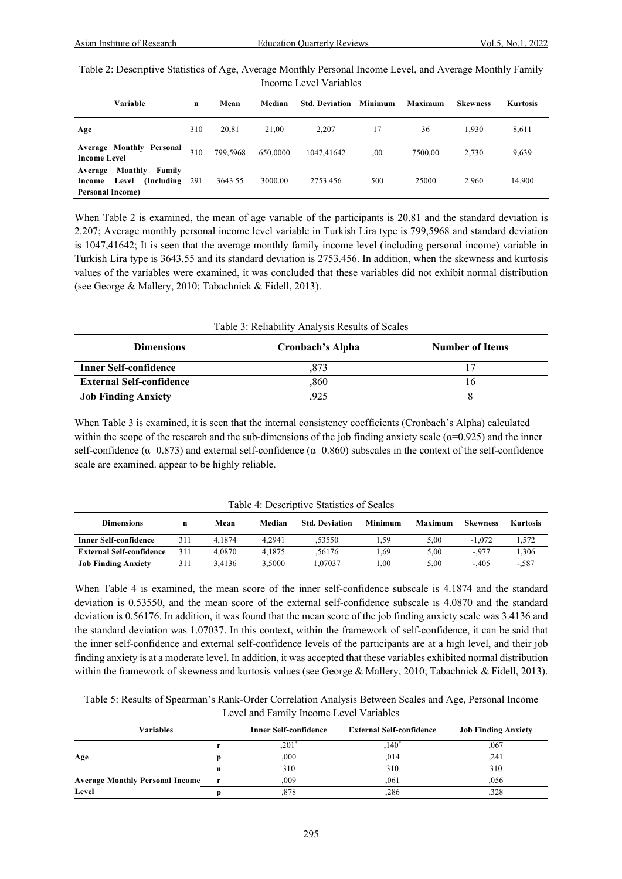| Table 2: Descriptive Statistics of Age, Average Monthly Personal Income Level, and Average Monthly Family |
|-----------------------------------------------------------------------------------------------------------|
| Income Level Variables                                                                                    |

| Variable                                                                                  | $\mathbf n$ | Mean     | Median   | <b>Std. Deviation</b> | Minimum | <b>Maximum</b> | <b>Skewness</b> | <b>Kurtosis</b> |
|-------------------------------------------------------------------------------------------|-------------|----------|----------|-----------------------|---------|----------------|-----------------|-----------------|
| Age                                                                                       | 310         | 20.81    | 21.00    | 2.207                 | 17      | 36             | 1.930           | 8,611           |
| <b>Average Monthly Personal</b><br><b>Income Level</b>                                    | 310         | 799,5968 | 650,0000 | 1047,41642            | .00     | 7500.00        | 2.730           | 9,639           |
| Monthly<br>Family<br>Average<br>Level<br>(Including)<br>Income<br><b>Personal Income)</b> | 291         | 3643.55  | 3000.00  | 2753.456              | 500     | 25000          | 2.960           | 14.900          |

When Table 2 is examined, the mean of age variable of the participants is 20.81 and the standard deviation is 2.207; Average monthly personal income level variable in Turkish Lira type is 799,5968 and standard deviation is 1047,41642; It is seen that the average monthly family income level (including personal income) variable in Turkish Lira type is 3643.55 and its standard deviation is 2753.456. In addition, when the skewness and kurtosis values of the variables were examined, it was concluded that these variables did not exhibit normal distribution (see George & Mallery, 2010; Tabachnick & Fidell, 2013).

| Table 3: Reliability Analysis Results of Scales |                  |                        |  |  |  |  |  |
|-------------------------------------------------|------------------|------------------------|--|--|--|--|--|
| <b>Dimensions</b>                               | Cronbach's Alpha | <b>Number of Items</b> |  |  |  |  |  |
| <b>Inner Self-confidence</b>                    | .873             |                        |  |  |  |  |  |
| <b>External Self-confidence</b>                 | ,860             | 16                     |  |  |  |  |  |
| <b>Job Finding Anxiety</b>                      | .925             |                        |  |  |  |  |  |

When Table 3 is examined, it is seen that the internal consistency coefficients (Cronbach's Alpha) calculated within the scope of the research and the sub-dimensions of the job finding anxiety scale ( $\alpha$ =0.925) and the inner self-confidence ( $\alpha$ =0.873) and external self-confidence ( $\alpha$ =0.860) subscales in the context of the self-confidence scale are examined. appear to be highly reliable.

| Table 4. Descriptive Statistics of Scales |     |        |        |                       |                |         |                 |          |
|-------------------------------------------|-----|--------|--------|-----------------------|----------------|---------|-----------------|----------|
| <b>Dimensions</b>                         | n   | Mean   | Median | <b>Std. Deviation</b> | <b>Minimum</b> | Maximum | <b>Skewness</b> | Kurtosis |
| <b>Inner Self-confidence</b>              | 311 | 4.1874 | 4.2941 | .53550                | 1.59           | 5.00    | $-1.072$        | 1.572    |
| <b>External Self-confidence</b>           | 311 | 4.0870 | 4.1875 | 56176                 | . 69           | 5.00    | $-.977$         | 1.306    |
| <b>Job Finding Anxiety</b>                | 311 | 3.4136 | 3.5000 | .07037                | 00.1           | 5.00    | $-.405$         | $-.587$  |

Table 4: Descriptive Statistics of Scales

When Table 4 is examined, the mean score of the inner self-confidence subscale is 4.1874 and the standard deviation is 0.53550, and the mean score of the external self-confidence subscale is 4.0870 and the standard deviation is 0.56176. In addition, it was found that the mean score of the job finding anxiety scale was 3.4136 and the standard deviation was 1.07037. In this context, within the framework of self-confidence, it can be said that the inner self-confidence and external self-confidence levels of the participants are at a high level, and their job finding anxiety is at a moderate level. In addition, it was accepted that these variables exhibited normal distribution within the framework of skewness and kurtosis values (see George & Mallery, 2010; Tabachnick & Fidell, 2013).

| Table 5: Results of Spearman's Rank-Order Correlation Analysis Between Scales and Age, Personal Income |
|--------------------------------------------------------------------------------------------------------|
| Level and Family Income Level Variables                                                                |

| Variables                              |              | <b>Inner Self-confidence</b> | <b>External Self-confidence</b> | <b>Job Finding Anxiety</b> |
|----------------------------------------|--------------|------------------------------|---------------------------------|----------------------------|
|                                        |              | .201                         | $,140^*$                        | ,067                       |
| Age                                    |              | .000                         | .014                            | .241                       |
|                                        | n            | 310                          | 310                             | 310                        |
| <b>Average Monthly Personal Income</b> | $\mathbf{r}$ | ,009                         | .061                            | ,056                       |
| Level                                  |              | 878,                         | .286                            | .328                       |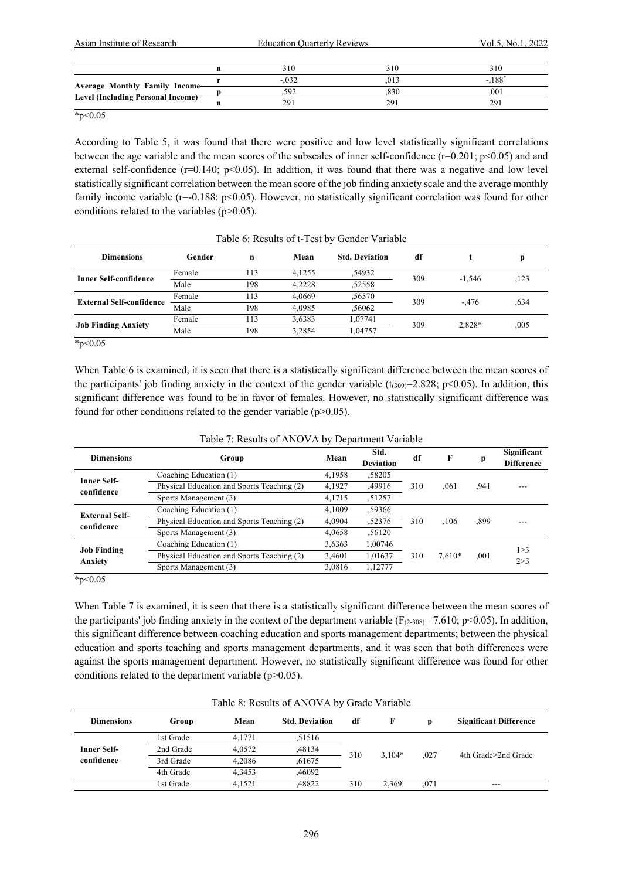| Asian Institute of Research                                           |         | <b>Education Quarterly Reviews</b> |          |  |
|-----------------------------------------------------------------------|---------|------------------------------------|----------|--|
|                                                                       | 310     | 310                                | 310      |  |
|                                                                       | $-.032$ | .013                               | $-.188*$ |  |
| Average Monthly Family Income-<br>Level (Including Personal Income) - | .592    | .830                               | .001     |  |
|                                                                       | 291     | 291                                | 291      |  |

 $*_{p<0.05}$ 

According to Table 5, it was found that there were positive and low level statistically significant correlations between the age variable and the mean scores of the subscales of inner self-confidence  $(r=0.201; p<0.05)$  and and external self-confidence  $(r=0.140; p<0.05)$ . In addition, it was found that there was a negative and low level statistically significant correlation between the mean score of the job finding anxiety scale and the average monthly family income variable (r=-0.188; p<0.05). However, no statistically significant correlation was found for other conditions related to the variables (p>0.05).

| <b>Dimensions</b>               | Gender | n   | Mean   | <b>Std. Deviation</b> | df  |          |      |
|---------------------------------|--------|-----|--------|-----------------------|-----|----------|------|
| <b>Inner Self-confidence</b>    | Female | 113 | 4.1255 | .54932                | 309 | $-1.546$ | ,123 |
|                                 | Male   | 198 | 4.2228 | ,52558                |     |          |      |
|                                 | Female | 113 | 4.0669 | .56570                | 309 |          |      |
| <b>External Self-confidence</b> | Male   | 198 | 4.0985 | .56062                |     | $-.476$  | .634 |
|                                 | Female | 113 | 3,6383 | 1,07741               | 309 |          |      |
| <b>Job Finding Anxiety</b>      | Male   | 198 | 3,2854 | 1.04757               |     | 2,828*   | ,005 |

|  | Table 6: Results of t-Test by Gender Variable |  |
|--|-----------------------------------------------|--|
|  |                                               |  |

 $*_{p<0.05}$ 

When Table 6 is examined, it is seen that there is a statistically significant difference between the mean scores of the participants' job finding anxiety in the context of the gender variable  $(t_{(309)}=2.828; p<0.05)$ . In addition, this significant difference was found to be in favor of females. However, no statistically significant difference was found for other conditions related to the gender variable  $(p>0.05)$ .

| Significant<br><b>Difference</b> | p    | F        | df  | Std.<br><b>Deviation</b> | Mean   | Group                                      | <b>Dimensions</b>                |
|----------------------------------|------|----------|-----|--------------------------|--------|--------------------------------------------|----------------------------------|
|                                  |      |          |     | .58205                   | 4,1958 | Coaching Education (1)                     | <b>Inner Self-</b>               |
|                                  | .941 | .061     | 310 | ,49916                   | 4,1927 | Physical Education and Sports Teaching (2) | confidence                       |
|                                  |      |          |     | ,51257                   | 4,1715 | Sports Management (3)                      |                                  |
|                                  | ,899 | ,106     | 310 | .59366                   | 4.1009 | Coaching Education (1)                     | <b>External Self-</b>            |
|                                  |      |          |     | ,52376                   | 4.0904 | Physical Education and Sports Teaching (2) |                                  |
|                                  |      |          |     | ,56120                   | 4,0658 | Sports Management (3)                      |                                  |
| 1 > 3                            |      |          | 310 | 1,00746                  | 3,6363 | Coaching Education (1)                     |                                  |
| 2 > 3                            | ,001 | $7.610*$ |     | 1,01637                  | 3,4601 | Physical Education and Sports Teaching (2) | Anxiety                          |
|                                  |      |          |     | 1,12777                  | 3,0816 | Sports Management (3)                      |                                  |
|                                  |      |          |     |                          |        |                                            | confidence<br><b>Job Finding</b> |

Table 7: Results of ANOVA by Department Variable

 $*_{p<0.05}$ 

When Table 7 is examined, it is seen that there is a statistically significant difference between the mean scores of the participants' job finding anxiety in the context of the department variable ( $F_{(2-308)} = 7.610$ ; p<0.05). In addition, this significant difference between coaching education and sports management departments; between the physical education and sports teaching and sports management departments, and it was seen that both differences were against the sports management department. However, no statistically significant difference was found for other conditions related to the department variable ( $p$  $>$ 0.05).

| Table 8: Results of ANOVA by Grade Variable |           |        |                       |     |          |      |                               |  |
|---------------------------------------------|-----------|--------|-----------------------|-----|----------|------|-------------------------------|--|
| <b>Dimensions</b>                           | Group     | Mean   | <b>Std. Deviation</b> | df  | F        |      | <b>Significant Difference</b> |  |
|                                             | 1st Grade | 4,1771 | .51516                |     |          |      | 4th Grade>2nd Grade           |  |
| <b>Inner Self-</b>                          | 2nd Grade | 4.0572 | ,48134                | 310 | $3.104*$ | .027 |                               |  |
| confidence                                  | 3rd Grade | 4.2086 | .61675                |     |          |      |                               |  |
|                                             | 4th Grade | 4.3453 | .46092                |     |          |      |                               |  |
|                                             | 1st Grade | 4.1521 | .48822                | 310 | 2.369    | .071 | $- - -$                       |  |

Table 8: Results of ANOVA by Grade Variable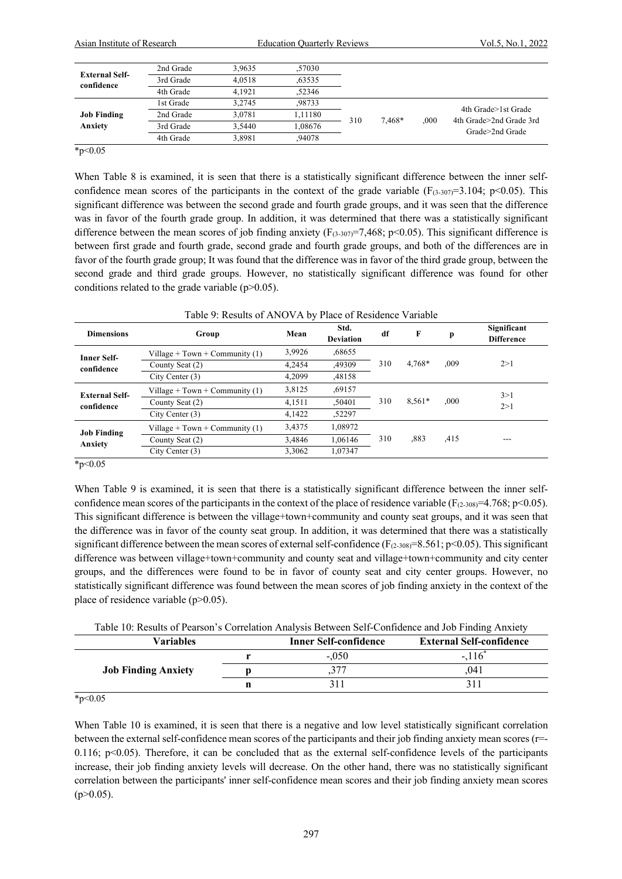| Asian Institute of Research   |           | <b>Education Quarterly Reviews</b> |         |     |        | Vol.5, No.1, 2022 |                                                                   |  |
|-------------------------------|-----------|------------------------------------|---------|-----|--------|-------------------|-------------------------------------------------------------------|--|
|                               | 2nd Grade | 3.9635                             | ,57030  |     |        |                   |                                                                   |  |
| <b>External Self-</b>         | 3rd Grade | 4.0518                             | .63535  |     |        |                   |                                                                   |  |
| confidence                    | 4th Grade | 4.1921                             | .52346  |     |        |                   |                                                                   |  |
|                               | 1st Grade | 3.2745                             | .98733  |     |        |                   |                                                                   |  |
| <b>Job Finding</b><br>Anxiety | 2nd Grade | 3,0781                             | 1,11180 | 310 |        | .000              | 4th Grade>1st Grade<br>4th Grade>2nd Grade 3rd<br>Grade>2nd Grade |  |
|                               | 3rd Grade | 3.5440                             | 1.08676 |     | 7.468* |                   |                                                                   |  |
|                               | 4th Grade | 3,8981                             | ,94078  |     |        |                   |                                                                   |  |

 $*_{p<0.05}$ 

When Table 8 is examined, it is seen that there is a statistically significant difference between the inner selfconfidence mean scores of the participants in the context of the grade variable ( $F_{(3-307)}=3.104$ ; p<0.05). This significant difference was between the second grade and fourth grade groups, and it was seen that the difference was in favor of the fourth grade group. In addition, it was determined that there was a statistically significant difference between the mean scores of job finding anxiety ( $F_{(3-307)}$ =7,468; p<0.05). This significant difference is between first grade and fourth grade, second grade and fourth grade groups, and both of the differences are in favor of the fourth grade group; It was found that the difference was in favor of the third grade group, between the second grade and third grade groups. However, no statistically significant difference was found for other conditions related to the grade variable  $(p>0.05)$ .

|  |  | Table 9: Results of ANOVA by Place of Residence Variable |  |
|--|--|----------------------------------------------------------|--|
|  |  |                                                          |  |

| <b>Dimensions</b>             | Group                            | Mean   | Std.<br><b>Deviation</b> | df  | F        | p    | Significant<br><b>Difference</b> |  |
|-------------------------------|----------------------------------|--------|--------------------------|-----|----------|------|----------------------------------|--|
| <b>Inner Self-</b>            | Village + Town + Community $(1)$ | 3,9926 | .68655                   |     |          |      |                                  |  |
| confidence                    | County Seat (2)                  | 4.2454 | ,49309                   | 310 | 4.768*   | .009 | 2>1                              |  |
|                               | City Center $(3)$                | 4.2099 | ,48158                   |     |          |      |                                  |  |
| <b>External Self-</b>         | Village + Town + Community $(1)$ | 3,8125 | ,69157                   |     |          |      | 3>1                              |  |
| confidence                    | County Seat (2)                  | 4,1511 | ,50401                   | 310 | $8,561*$ | ,000 | 2>1                              |  |
|                               | City Center $(3)$                | 4.1422 | ,52297                   |     |          |      |                                  |  |
| <b>Job Finding</b><br>Anxiety | Village + Town + Community $(1)$ | 3,4375 | 1.08972                  | 310 | .883     |      |                                  |  |
|                               | County Seat (2)                  | 3.4846 | 1.06146                  |     |          | .415 | ---                              |  |
|                               | City Center $(3)$                | 3.3062 | 1.07347                  |     |          |      |                                  |  |

 $*_{p<0.05}$ 

When Table 9 is examined, it is seen that there is a statistically significant difference between the inner selfconfidence mean scores of the participants in the context of the place of residence variable ( $F_{(2-308)}=4.768$ ; p<0.05). This significant difference is between the village+town+community and county seat groups, and it was seen that the difference was in favor of the county seat group. In addition, it was determined that there was a statistically significant difference between the mean scores of external self-confidence  $(F_{(2-308)}=8.561; p<0.05)$ . This significant difference was between village+town+community and county seat and village+town+community and city center groups, and the differences were found to be in favor of county seat and city center groups. However, no statistically significant difference was found between the mean scores of job finding anxiety in the context of the place of residence variable  $(p>0.05)$ .

| Table 10: Results of Pearson's Correlation Analysis Between Self-Confidence and Job Finding Anxiety |  |  |  |
|-----------------------------------------------------------------------------------------------------|--|--|--|
|                                                                                                     |  |  |  |
|                                                                                                     |  |  |  |
|                                                                                                     |  |  |  |

| <b>Variables</b>           | <b>Inner Self-confidence</b> | <b>External Self-confidence</b> |
|----------------------------|------------------------------|---------------------------------|
|                            | $-.050$                      | $-.116^*$                       |
| <b>Job Finding Anxiety</b> | ت                            | .041                            |
|                            |                              |                                 |

 $*_{p<0.05}$ 

When Table 10 is examined, it is seen that there is a negative and low level statistically significant correlation between the external self-confidence mean scores of the participants and their job finding anxiety mean scores (r=- 0.116;  $p<0.05$ ). Therefore, it can be concluded that as the external self-confidence levels of the participants increase, their job finding anxiety levels will decrease. On the other hand, there was no statistically significant correlation between the participants' inner self-confidence mean scores and their job finding anxiety mean scores  $(p>0.05)$ .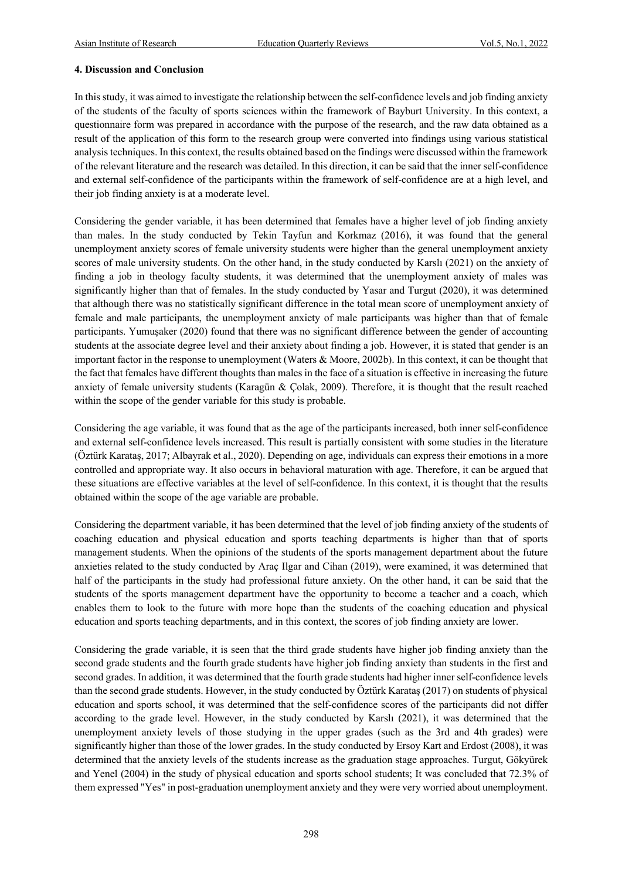#### **4. Discussion and Conclusion**

In this study, it was aimed to investigate the relationship between the self-confidence levels and job finding anxiety of the students of the faculty of sports sciences within the framework of Bayburt University. In this context, a questionnaire form was prepared in accordance with the purpose of the research, and the raw data obtained as a result of the application of this form to the research group were converted into findings using various statistical analysis techniques. In this context, the results obtained based on the findings were discussed within the framework of the relevant literature and the research was detailed. In this direction, it can be said that the inner self-confidence and external self-confidence of the participants within the framework of self-confidence are at a high level, and their job finding anxiety is at a moderate level.

Considering the gender variable, it has been determined that females have a higher level of job finding anxiety than males. In the study conducted by Tekin Tayfun and Korkmaz (2016), it was found that the general unemployment anxiety scores of female university students were higher than the general unemployment anxiety scores of male university students. On the other hand, in the study conducted by Karslı (2021) on the anxiety of finding a job in theology faculty students, it was determined that the unemployment anxiety of males was significantly higher than that of females. In the study conducted by Yasar and Turgut (2020), it was determined that although there was no statistically significant difference in the total mean score of unemployment anxiety of female and male participants, the unemployment anxiety of male participants was higher than that of female participants. Yumuşaker (2020) found that there was no significant difference between the gender of accounting students at the associate degree level and their anxiety about finding a job. However, it is stated that gender is an important factor in the response to unemployment (Waters & Moore, 2002b). In this context, it can be thought that the fact that females have different thoughts than males in the face of a situation is effective in increasing the future anxiety of female university students (Karagün & Çolak, 2009). Therefore, it is thought that the result reached within the scope of the gender variable for this study is probable.

Considering the age variable, it was found that as the age of the participants increased, both inner self-confidence and external self-confidence levels increased. This result is partially consistent with some studies in the literature (Öztürk Karataş, 2017; Albayrak et al., 2020). Depending on age, individuals can express their emotions in a more controlled and appropriate way. It also occurs in behavioral maturation with age. Therefore, it can be argued that these situations are effective variables at the level of self-confidence. In this context, it is thought that the results obtained within the scope of the age variable are probable.

Considering the department variable, it has been determined that the level of job finding anxiety of the students of coaching education and physical education and sports teaching departments is higher than that of sports management students. When the opinions of the students of the sports management department about the future anxieties related to the study conducted by Araç Ilgar and Cihan (2019), were examined, it was determined that half of the participants in the study had professional future anxiety. On the other hand, it can be said that the students of the sports management department have the opportunity to become a teacher and a coach, which enables them to look to the future with more hope than the students of the coaching education and physical education and sports teaching departments, and in this context, the scores of job finding anxiety are lower.

Considering the grade variable, it is seen that the third grade students have higher job finding anxiety than the second grade students and the fourth grade students have higher job finding anxiety than students in the first and second grades. In addition, it was determined that the fourth grade students had higher inner self-confidence levels than the second grade students. However, in the study conducted by Öztürk Karataş (2017) on students of physical education and sports school, it was determined that the self-confidence scores of the participants did not differ according to the grade level. However, in the study conducted by Karslı (2021), it was determined that the unemployment anxiety levels of those studying in the upper grades (such as the 3rd and 4th grades) were significantly higher than those of the lower grades. In the study conducted by Ersoy Kart and Erdost (2008), it was determined that the anxiety levels of the students increase as the graduation stage approaches. Turgut, Gökyürek and Yenel (2004) in the study of physical education and sports school students; It was concluded that 72.3% of them expressed "Yes" in post-graduation unemployment anxiety and they were very worried about unemployment.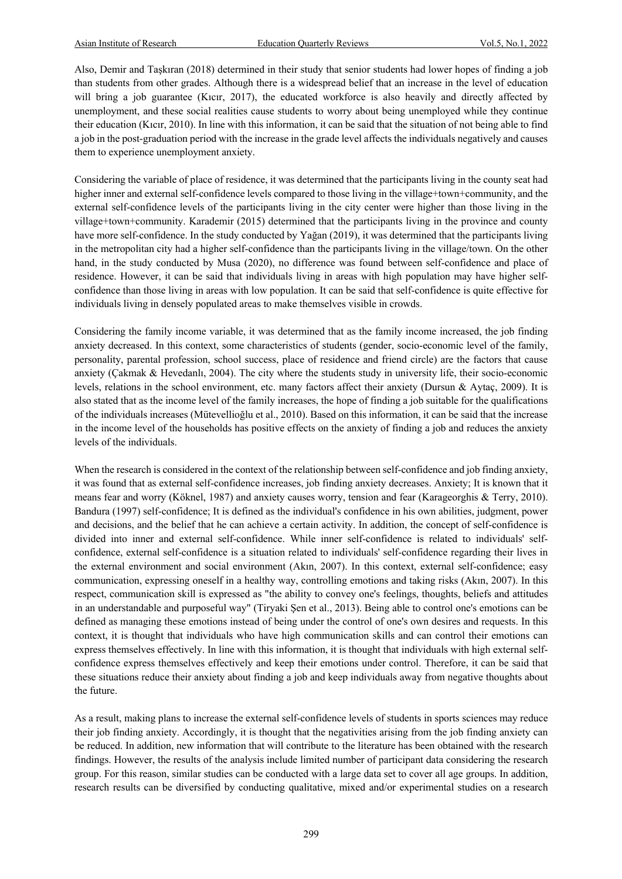Also, Demir and Taşkıran (2018) determined in their study that senior students had lower hopes of finding a job than students from other grades. Although there is a widespread belief that an increase in the level of education will bring a job guarantee (Kıcır, 2017), the educated workforce is also heavily and directly affected by unemployment, and these social realities cause students to worry about being unemployed while they continue their education (Kıcır, 2010). In line with this information, it can be said that the situation of not being able to find a job in the post-graduation period with the increase in the grade level affects the individuals negatively and causes them to experience unemployment anxiety.

Considering the variable of place of residence, it was determined that the participants living in the county seat had higher inner and external self-confidence levels compared to those living in the village+town+community, and the external self-confidence levels of the participants living in the city center were higher than those living in the village+town+community. Karademir (2015) determined that the participants living in the province and county have more self-confidence. In the study conducted by Yağan (2019), it was determined that the participants living in the metropolitan city had a higher self-confidence than the participants living in the village/town. On the other hand, in the study conducted by Musa (2020), no difference was found between self-confidence and place of residence. However, it can be said that individuals living in areas with high population may have higher selfconfidence than those living in areas with low population. It can be said that self-confidence is quite effective for individuals living in densely populated areas to make themselves visible in crowds.

Considering the family income variable, it was determined that as the family income increased, the job finding anxiety decreased. In this context, some characteristics of students (gender, socio-economic level of the family, personality, parental profession, school success, place of residence and friend circle) are the factors that cause anxiety (Çakmak & Hevedanlı, 2004). The city where the students study in university life, their socio-economic levels, relations in the school environment, etc. many factors affect their anxiety (Dursun & Aytaç, 2009). It is also stated that as the income level of the family increases, the hope of finding a job suitable for the qualifications of the individuals increases (Mütevellioğlu et al., 2010). Based on this information, it can be said that the increase in the income level of the households has positive effects on the anxiety of finding a job and reduces the anxiety levels of the individuals.

When the research is considered in the context of the relationship between self-confidence and job finding anxiety, it was found that as external self-confidence increases, job finding anxiety decreases. Anxiety; It is known that it means fear and worry (Köknel, 1987) and anxiety causes worry, tension and fear (Karageorghis & Terry, 2010). Bandura (1997) self-confidence; It is defined as the individual's confidence in his own abilities, judgment, power and decisions, and the belief that he can achieve a certain activity. In addition, the concept of self-confidence is divided into inner and external self-confidence. While inner self-confidence is related to individuals' selfconfidence, external self-confidence is a situation related to individuals' self-confidence regarding their lives in the external environment and social environment (Akın, 2007). In this context, external self-confidence; easy communication, expressing oneself in a healthy way, controlling emotions and taking risks (Akın, 2007). In this respect, communication skill is expressed as "the ability to convey one's feelings, thoughts, beliefs and attitudes in an understandable and purposeful way" (Tiryaki Şen et al., 2013). Being able to control one's emotions can be defined as managing these emotions instead of being under the control of one's own desires and requests. In this context, it is thought that individuals who have high communication skills and can control their emotions can express themselves effectively. In line with this information, it is thought that individuals with high external selfconfidence express themselves effectively and keep their emotions under control. Therefore, it can be said that these situations reduce their anxiety about finding a job and keep individuals away from negative thoughts about the future.

As a result, making plans to increase the external self-confidence levels of students in sports sciences may reduce their job finding anxiety. Accordingly, it is thought that the negativities arising from the job finding anxiety can be reduced. In addition, new information that will contribute to the literature has been obtained with the research findings. However, the results of the analysis include limited number of participant data considering the research group. For this reason, similar studies can be conducted with a large data set to cover all age groups. In addition, research results can be diversified by conducting qualitative, mixed and/or experimental studies on a research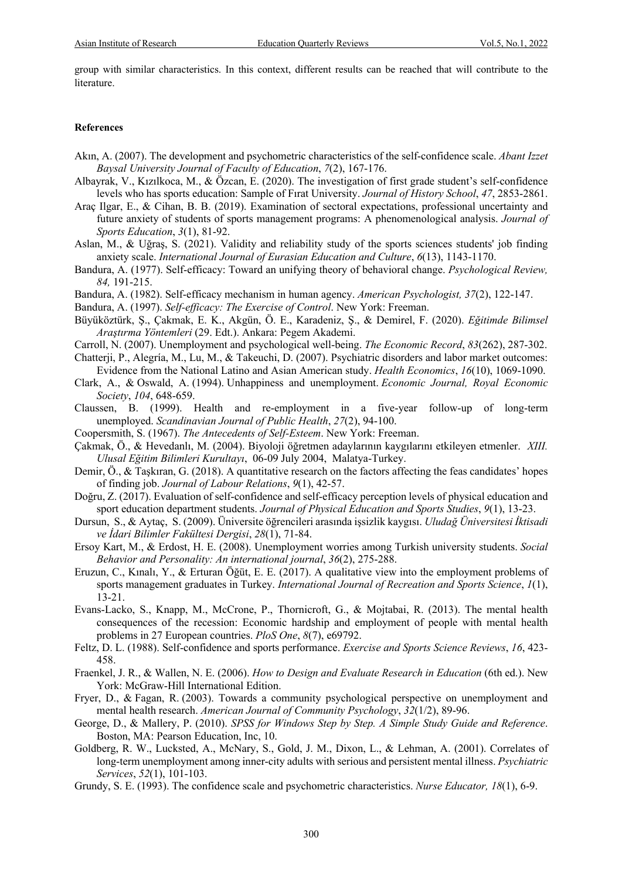group with similar characteristics. In this context, different results can be reached that will contribute to the literature.

#### **References**

- Akın, A. (2007). The development and psychometric characteristics of the self-confidence scale. *Abant Izzet Baysal University Journal of Faculty of Education*, *7*(2), 167-176.
- Albayrak, V., Kızılkoca, M., & Özcan, E. (2020). The investigation of first grade student's self-confidence levels who has sports education: Sample of Fırat University. *Journal of History School*, *47*, 2853-2861.
- Araç Ilgar, E., & Cihan, B. B. (2019). Examination of sectoral expectations, professional uncertainty and future anxiety of students of sports management programs: A phenomenological analysis. *Journal of Sports Education*, *3*(1), 81-92.
- Aslan, M., & Uğraş, S. (2021). Validity and reliability study of the sports sciences students' job finding anxiety scale. *International Journal of Eurasian Education and Culture*, *6*(13), 1143-1170.
- Bandura, A. (1977). Self-efficacy: Toward an unifying theory of behavioral change. *Psychological Review, 84,* 191-215.
- Bandura, A. (1982). Self-efficacy mechanism in human agency. *American Psychologist, 37*(2), 122-147.
- Bandura, A. (1997). *Self-efficacy: The Exercise of Control*. New York: Freeman.
- Büyüköztürk, Ş., Çakmak, E. K., Akgün, Ö. E., Karadeniz, Ş., & Demirel, F. (2020). *Eğitimde Bilimsel Araştırma Yöntemleri* (29. Edt.). Ankara: Pegem Akademi.
- Carroll, N. (2007). Unemployment and psychological well-being. *The Economic Record*, *83*(262), 287-302.
- Chatterji, P., Alegría, M., Lu, M., & Takeuchi, D. (2007). Psychiatric disorders and labor market outcomes: Evidence from the National Latino and Asian American study. *Health Economics*, *16*(10), 1069-1090.
- Clark, A., & Oswald, A. (1994). Unhappiness and unemployment. *Economic Journal, Royal Economic Society*, *104*, 648-659.
- Claussen, B. (1999). Health and re-employment in a five-year follow-up of long-term unemployed. *Scandinavian Journal of Public Health*, *27*(2), 94-100.
- Coopersmith, S. (1967). *The Antecedents of Self-Esteem*. New York: Freeman.
- Çakmak, Ö., & Hevedanlı, M. (2004). Biyoloji öğretmen adaylarının kaygılarını etkileyen etmenler. *XIII. Ulusal Eğitim Bilimleri Kurultayı*, 06-09 July 2004, Malatya-Turkey.
- Demir, Ö., & Taşkıran, G. (2018). A quantitative research on the factors affecting the feas candidates' hopes of finding job. *Journal of Labour Relations*, *9*(1), 42-57.
- Doğru, Z. (2017). Evaluation of self-confidence and self-efficacy perception levels of physical education and sport education department students. *Journal of Physical Education and Sports Studies*, *9*(1), 13-23.
- Dursun, S., & Aytaç, S. (2009). Üniversite öğrencileri arasında işsizlik kaygısı. *Uludağ Üniversitesi İktisadi ve İdari Bilimler Fakültesi Dergisi*, *28*(1), 71-84.
- Ersoy Kart, M., & Erdost, H. E. (2008). Unemployment worries among Turkish university students. *Social Behavior and Personality: An international journal*, *36*(2), 275-288.
- Eruzun, C., Kınalı, Y., & Erturan Öğüt, E. E. (2017). A qualitative view into the employment problems of sports management graduates in Turkey. *International Journal of Recreation and Sports Science*, *1*(1), 13-21.
- Evans-Lacko, S., Knapp, M., McCrone, P., Thornicroft, G., & Mojtabai, R. (2013). The mental health consequences of the recession: Economic hardship and employment of people with mental health problems in 27 European countries. *PloS One*, *8*(7), e69792.
- Feltz, D. L. (1988). Self-confidence and sports performance. *Exercise and Sports Science Reviews*, *16*, 423- 458.
- Fraenkel, J. R., & Wallen, N. E. (2006). *How to Design and Evaluate Research in Education* (6th ed.). New York: McGraw-Hill International Edition.
- Fryer, D., & Fagan, R. (2003). Towards a community psychological perspective on unemployment and mental health research. *American Journal of Community Psychology*, *32*(1/2), 89-96.
- George, D., & Mallery, P. (2010). *SPSS for Windows Step by Step. A Simple Study Guide and Reference*. Boston, MA: Pearson Education, Inc, 10.
- Goldberg, R. W., Lucksted, A., McNary, S., Gold, J. M., Dixon, L., & Lehman, A. (2001). Correlates of long-term unemployment among inner-city adults with serious and persistent mental illness. *Psychiatric Services*, *52*(1), 101-103.
- Grundy, S. E. (1993). The confidence scale and psychometric characteristics. *Nurse Educator, 18*(1), 6-9.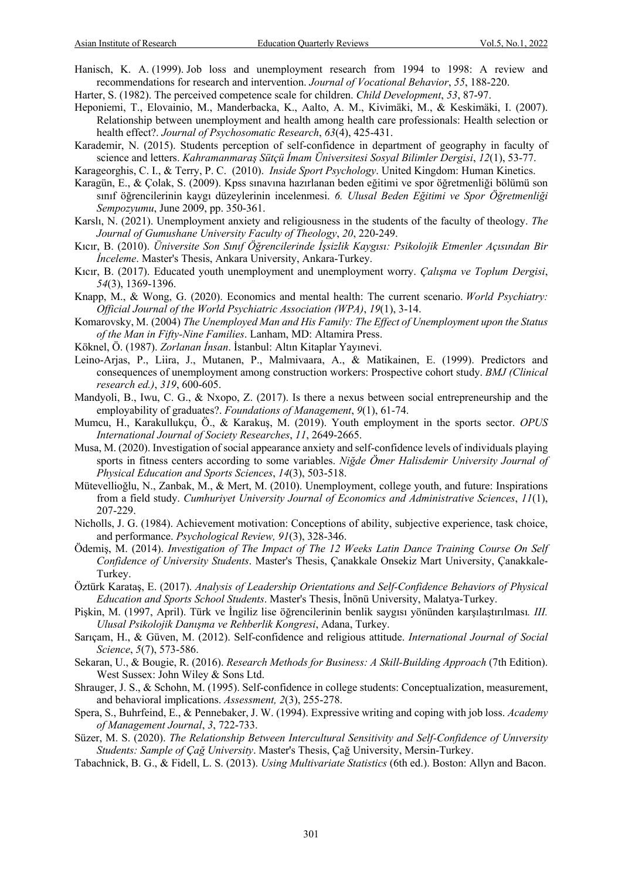- Hanisch, K. A. (1999). Job loss and unemployment research from 1994 to 1998: A review and recommendations for research and intervention. *Journal of Vocational Behavior*, *55*, 188-220.
- Harter, S. (1982). The perceived competence scale for children. *Child Development*, *53*, 87-97.
- Heponiemi, T., Elovainio, M., Manderbacka, K., Aalto, A. M., Kivimäki, M., & Keskimäki, I. (2007). Relationship between unemployment and health among health care professionals: Health selection or health effect?. *Journal of Psychosomatic Research*, *63*(4), 425-431.
- Karademir, N. (2015). Students perception of self-confidence in department of geography in faculty of science and letters. *Kahramanmaraş Sütçü İmam Üniversitesi Sosyal Bilimler Dergisi*, *12*(1), 53-77.
- Karageorghis, C. I., & Terry, P. C. (2010). *Inside Sport Psychology*. United Kingdom: Human Kinetics.
- Karagün, E., & Çolak, S. (2009). Kpss sınavına hazırlanan beden eğitimi ve spor öğretmenliği bölümü son sınıf öğrencilerinin kaygı düzeylerinin incelenmesi. *6. Ulusal Beden Eğitimi ve Spor Öğretmenliği Sempozyumu*, June 2009, pp. 350-361.
- Karslı, N. (2021). Unemployment anxiety and religiousness in the students of the faculty of theology. *The Journal of Gumushane University Faculty of Theology*, *20*, 220-249.
- Kıcır, B. (2010). *Üniversite Son Sınıf Öğrencilerinde İşsizlik Kaygısı: Psikolojik Etmenler Açısından Bir İnceleme*. Master's Thesis, Ankara University, Ankara-Turkey.
- Kıcır, B. (2017). Educated youth unemployment and unemployment worry. *Çalışma ve Toplum Dergisi*, *54*(3), 1369-1396.
- Knapp, M., & Wong, G. (2020). Economics and mental health: The current scenario. *World Psychiatry: Official Journal of the World Psychiatric Association (WPA)*, *19*(1), 3-14.
- Komarovsky, M. (2004) *The Unemployed Man and His Family: The Effect of Unemployment upon the Status of the Man in Fifty-Nine Families*. Lanham, MD: Altamira Press.
- Köknel, Ö. (1987). *Zorlanan İnsan*. İstanbul: Altın Kitaplar Yayınevi.
- Leino-Arjas, P., Liira, J., Mutanen, P., Malmivaara, A., & Matikainen, E. (1999). Predictors and consequences of unemployment among construction workers: Prospective cohort study. *BMJ (Clinical research ed.)*, *319*, 600-605.
- Mandyoli, B., Iwu, C. G., & Nxopo, Z. (2017). Is there a nexus between social entrepreneurship and the employability of graduates?. *Foundations of Management*, *9*(1), 61-74.
- Mumcu, H., Karakullukçu, Ö., & Karakuş, M. (2019). Youth employment in the sports sector. *OPUS International Journal of Society Researches*, *11*, 2649-2665.
- Musa, M. (2020). Investigation of social appearance anxiety and self-confidence levels of individuals playing sports in fitness centers according to some variables. *Niğde Ömer Halisdemir University Journal of Physical Education and Sports Sciences*, *14*(3), 503-518.
- Mütevellioğlu, N., Zanbak, M., & Mert, M. (2010). Unemployment, college youth, and future: Inspirations from a field study. *Cumhuriyet University Journal of Economics and Administrative Sciences*, *11*(1), 207-229.
- Nicholls, J. G. (1984). Achievement motivation: Conceptions of ability, subjective experience, task choice, and performance. *Psychological Review, 91*(3), 328-346.
- Ödemiş, M. (2014). *Investigation of The Impact of The 12 Weeks Latin Dance Training Course On Self Confidence of University Students*. Master's Thesis, Çanakkale Onsekiz Mart University, Çanakkale-Turkey.
- Öztürk Karataş, E. (2017). *Analysis of Leadership Orientations and Self-Confidence Behaviors of Physical Education and Sports School Students*. Master's Thesis, İnönü University, Malatya-Turkey.
- Pişkin, M. (1997, April). Türk ve İngiliz lise öğrencilerinin benlik saygısı yönünden karşılaştırılması*. III. Ulusal Psikolojik Danışma ve Rehberlik Kongresi*, Adana, Turkey.
- Sarıçam, H., & Güven, M. (2012). Self-confidence and religious attitude. *International Journal of Social Science*, *5*(7), 573-586.
- Sekaran, U., & Bougie, R. (2016). *Research Methods for Business: A Skill-Building Approach* (7th Edition). West Sussex: John Wiley & Sons Ltd.
- Shrauger, J. S., & Schohn, M. (1995). Self-confidence in college students: Conceptualization, measurement, and behavioral implications. *Assessment, 2*(3), 255-278.
- Spera, S., Buhrfeind, E., & Pennebaker, J. W. (1994). Expressive writing and coping with job loss. *Academy of Management Journal*, *3*, 722-733.
- Süzer, M. S. (2020). *The Relationship Between Intercultural Sensitivity and Self-Confidence of Unıversity Students: Sample of Çağ University*. Master's Thesis, Çağ University, Mersin-Turkey.
- Tabachnick, B. G., & Fidell, L. S. (2013). *Using Multivariate Statistics* (6th ed.). Boston: Allyn and Bacon.